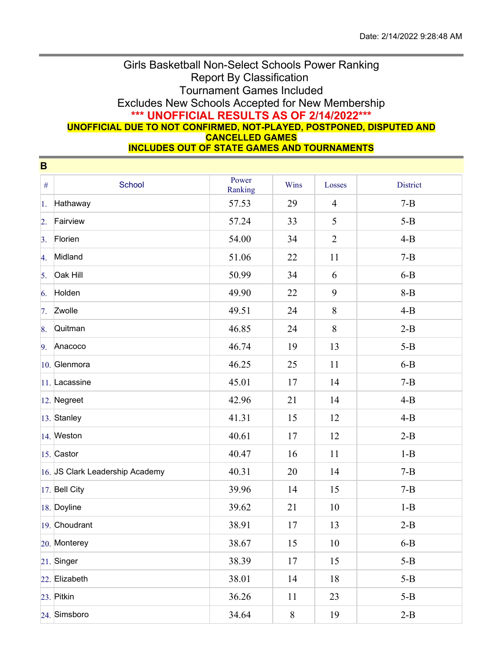## Girls Basketball Non-Select Schools Power Ranking Report By Classification Tournament Games Included Excludes New Schools Accepted for New Membership **\*\*\* UNOFFICIAL RESULTS AS OF 2/14/2022\*\*\* UNOFFICIAL DUE TO NOT CONFIRMED, NOT-PLAYED, POSTPONED, DISPUTED AND CANCELLED GAMES**

**INCLUDES OUT OF STATE GAMES AND TOURNAMENTS**

| B                |                                 |                  |       |                |                 |
|------------------|---------------------------------|------------------|-------|----------------|-----------------|
| $\#$             | School                          | Power<br>Ranking | Wins  | Losses         | <b>District</b> |
| 1.               | Hathaway                        | 57.53            | 29    | $\overline{4}$ | $7 - B$         |
| $\overline{2}$ . | Fairview                        | 57.24            | 33    | 5              | $5-B$           |
| $\overline{3}$ . | Florien                         | 54.00            | 34    | $\overline{2}$ | $4-B$           |
| 4.               | Midland                         | 51.06            | 22    | 11             | $7 - B$         |
| 5.               | Oak Hill                        | 50.99            | 34    | 6              | $6-B$           |
| 6.               | Holden                          | 49.90            | 22    | 9              | $8 - B$         |
| 7.               | Zwolle                          | 49.51            | 24    | 8              | $4 - B$         |
| 8.               | Quitman                         | 46.85            | 24    | 8              | $2-B$           |
| 9.               | Anacoco                         | 46.74            | 19    | 13             | $5-B$           |
|                  | 10. Glenmora                    | 46.25            | 25    | 11             | $6-B$           |
|                  | $ 11. $ Lacassine               | 45.01            | 17    | 14             | $7 - B$         |
|                  | $ 12.$ Negreet                  | 42.96            | 21    | 14             | $4 - B$         |
|                  | 13. Stanley                     | 41.31            | 15    | 12             | $4 - B$         |
|                  | 14. Weston                      | 40.61            | 17    | 12             | $2-B$           |
|                  | 15. Castor                      | 40.47            | 16    | 11             | $1 - B$         |
|                  | 16. JS Clark Leadership Academy | 40.31            | 20    | 14             | $7 - B$         |
|                  | $ 17.$ Bell City                | 39.96            | 14    | 15             | $7 - B$         |
|                  | 18. Doyline                     | 39.62            | 21    | 10             | $1 - B$         |
|                  | 19. Choudrant                   | 38.91            | 17    | 13             | $2-B$           |
|                  | 20. Monterey                    | 38.67            | 15    | 10             | $6-B$           |
|                  | $21.$ Singer                    | 38.39            | 17    | 15             | $5-B$           |
|                  | 22. Elizabeth                   | 38.01            | 14    | 18             | $5-B$           |
|                  | 23. Pitkin                      | 36.26            | 11    | 23             | $5-B$           |
|                  | $24.$ Simsboro                  | 34.64            | $8\,$ | 19             | $2-B$           |